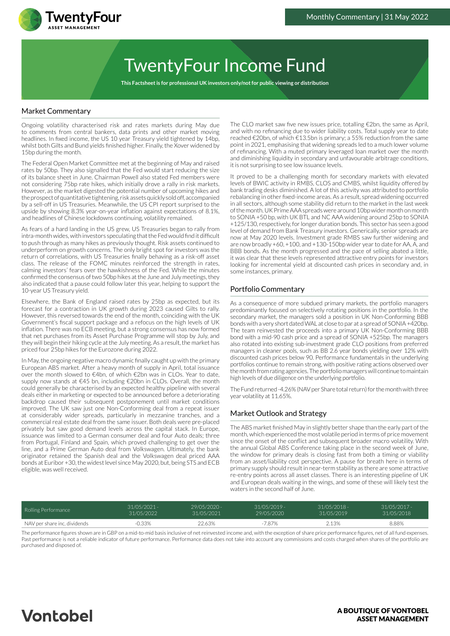

# TwentyFour Income Fund

**This Factsheet is for professional UK investors only/not for public viewing or distribution**

### Market Commentary

Ongoing volatility characterised risk and rates markets during May due to comments from central bankers, data prints and other market moving headlines. In fixed income, the US 10 year Treasury yield tightened by 14bp, whilst both Gilts and Bund yields finished higher. Finally, the Xover widened by 15bp during the month.

The Federal Open Market Committee met at the beginning of May and raised rates by 50bp. They also signalled that the Fed would start reducing the size of its balance sheet in June. Chairman Powell also stated Fed members were not considering 75bp rate hikes, which initially drove a rally in risk markets. However, as the market digested the potential number of upcoming hikes and the prospect of quantitative tightening, risk assets quickly sold off, accompanied by a sell-off in US Treasuries. Meanwhile, the US CPI report surprised to the upside by showing 8.3% year-on-year inflation against expectations of 8.1%, and headlines of Chinese lockdowns continuing, volatility remained.

As fears of a hard landing in the US grew, US Treasuries began to rally from intra-month wides, with investors speculating that the Fed would find it difficult to push through as many hikes as previously thought. Risk assets continued to underperform on growth concerns. The only bright spot for investors was the return of correlations, with US Treasuries finally behaving as a risk-off asset class. The release of the FOMC minutes reinforced the strength in rates, calming investors' fears over the hawkishness of the Fed. While the minutes confirmed the consensus of two 50bp hikes at the June and July meetings, they also indicated that a pause could follow later this year, helping to support the 10-year US Treasury yield.

Elsewhere, the Bank of England raised rates by 25bp as expected, but its forecast for a contraction in UK growth during 2023 caused Gilts to rally. However, this reversed towards the end of the month, coinciding with the UK Government's fiscal support package and a refocus on the high levels of UK inflation. There was no ECB meeting, but a strong consensus has now formed that net purchases from its Asset Purchase Programme will stop by July, and they will begin their hiking cycle at the July meeting. As a result, the market has priced four 25bp hikes for the Eurozone during 2022.

In May, the ongoing negative macro dynamic finally caught up with the primary European ABS market. After a heavy month of supply in April, total issuance over the month slowed to €4bn, of which €2bn was in CLOs. Year to date, supply now stands at €45 bn, including €20bn in CLOs. Overall, the month could generally be characterised by an expected healthy pipeline with several deals either in marketing or expected to be announced before a deteriorating backdrop caused their subsequent postponement until market conditions improved. The UK saw just one Non-Conforming deal from a repeat issuer at considerably wider spreads, particularly in mezzanine tranches, and a commercial real estate deal from the same issuer. Both deals were pre-placed privately but saw good demand levels across the capital stack. In Europe, issuance was limited to a German consumer deal and four Auto deals; three from Portugal, Finland and Spain, which proved challenging to get over the line, and a Prime German Auto deal from Volkswagen. Ultimately, the bank originator retained the Spanish deal and the Volkswagen deal priced AAA bonds at Euribor +30, the widest level since May 2020, but, being STS and ECB eligible, was well received.

The CLO market saw five new issues price, totalling €2bn, the same as April, and with no refinancing due to wider liability costs. Total supply year to date reached €20bn, of which €13.5bn is primary; a 55% reduction from the same point in 2021, emphasising that widening spreads led to a much lower volume of refinancing. With a muted primary leveraged loan market over the month and diminishing liquidity in secondary and unfavourable arbitrage conditions, it is not surprising to see low issuance levels.

It proved to be a challenging month for secondary markets with elevated levels of BWIC activity in RMBS, CLOS and CMBS, whilst liquidity offered by bank trading desks diminished. A lot of this activity was attributed to portfolio rebalancing in other fixed-income areas. As a result, spread widening occurred in all sectors, although some stability did return to the market in the last week of the month. UK Prime AAA spreads were around 10bp wider month on month to SONIA +50 bp, with UK BTL and NC AAA widening around 25bp to SONIA +125/130, respectively, for longer duration bonds. This sector has seen a good level of demand from Bank Treasury investors. Generically, senior spreads are now at May 2020 levels. Investment grade RMBS saw further widening and are now broadly +60, +100, and +130-150bp wider year to date for AA, A, and BBB bonds. As the month progressed and the pace of selling abated a little, it was clear that these levels represented attractive entry points for investors looking for incremental yield at discounted cash prices in secondary and, in some instances, primary.

### Portfolio Commentary

As a consequence of more subdued primary markets, the portfolio managers predominantly focused on selectively rotating positions in the portfolio. In the secondary market, the managers sold a position in UK Non-Conforming BBB bonds with a very short dated WAL at close to par at a spread of SONIA +420bp. The team reinvested the proceeds into a primary UK Non-Conforming BBB bond with a mid-90 cash price and a spread of SONIA +525bp. The managers also rotated into existing sub-investment grade CLO positions from preferred managers in cleaner pools, such as BB 2.6 year bonds yielding over 12% with discounted cash prices below 90. Performance fundamentals in the underlying portfolios continue to remain strong, with positive rating actions observed over the month from rating agencies. The portfolio managers will continue to maintain high levels of due diligence on the underlying portfolio.

The Fund returned -4.26% (NAV per Share total return) for the month with three year volatility at 11.65%.

### Market Outlook and Strategy

The ABS market finished May in slightly better shape than the early part of the month, which experienced the most volatile period in terms of price movement since the onset of the conflict and subsequent broader macro volatility. With the annual Global ABS Conference taking place in the second week of June, the window for primary deals is closing fast from both a timing or viability from an asset/liability cost perspective. A pause for breath here in terms of primary supply should result in near-term stability as there are some attractive re-entry points across all asset classes. There is an interesting pipeline of UK and European deals waiting in the wings, and some of these will likely test the waters in the second half of June.

| Rolling Performance          | $31/05/2021 -$ | $29/05/2020$ - | $31/05/2019 -$ | $31/05/2018 -$ | $31/05/2017 -$ |
|------------------------------|----------------|----------------|----------------|----------------|----------------|
|                              | 31/05/2022     | 31/05/2021     | 29/05/2020     | 31/05/2019     | 31/05/2018     |
| NAV per share inc. dividends | $-0.33\%$      | 22.63%         | $-7.87%$       | 2.13%          | 8.88%          |

The performance figures shown are in GBP on a mid-to-mid basis inclusive of net reinvested income and, with the exception of share price performance figures, net of all fund expenses. Past performance is not a reliable indicator of future performance. Performance data does not take into account any commissions and costs charged when shares of the portfolio are purchased and disposed of.

## **Vontobel**